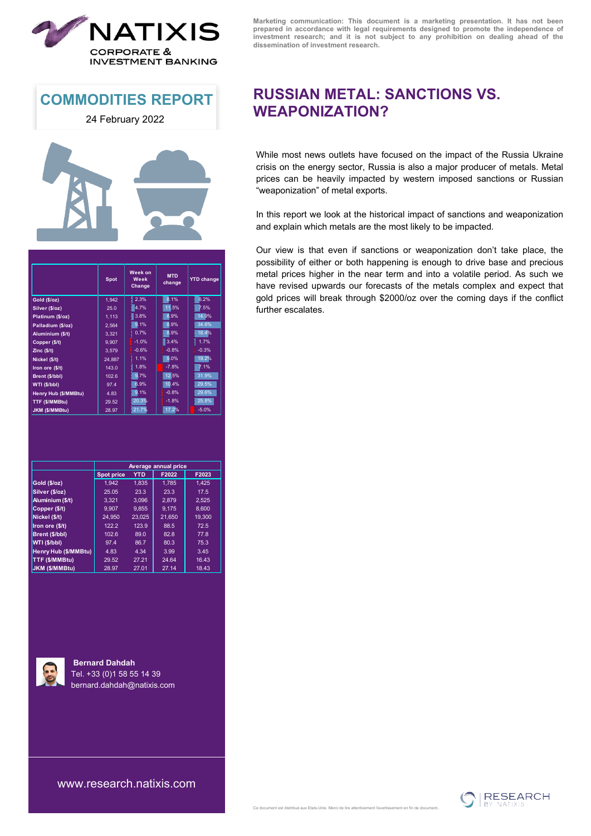

**COMMODITIES REPORT**

24 February 2022



|                      | <b>Spot</b> | Week on<br><b>MTD</b><br>Week<br>change<br>Change |         | <b>YTD change</b> |  |
|----------------------|-------------|---------------------------------------------------|---------|-------------------|--|
| Gold (\$/oz)         | 1,942       | 2.3%                                              | 8.1%    | 6.2%              |  |
| Silver (\$/oz)       | 25.0        | 4.7%                                              | 1115%   | 7.5%              |  |
| Platinum (\$/oz)     | 1,113       | 3.8%                                              | 8.9%    | 14.9%             |  |
| Palladium (\$/oz)    | 2,564       | 9.1%                                              | 8.9%    | 34.6%             |  |
| Aluminium (\$/t)     | 3,321       | 0.7%                                              | 8.9%    | 18.4%             |  |
| Copper (\$/t)        | 9,907       | $-1.0%$                                           | 3.4%    | 1.7%              |  |
| Zinc(S/t)            | 3.579       | $-0.6%$                                           | $-0.8%$ | $-0.3%$           |  |
| Nickel (\$/t)        | 24,887      | I<br>1.1%                                         | 9.0%    | 19.2%             |  |
| Iron ore (\$/t)      | 143.0       | 1.8%                                              | $-7.8%$ | 7.1%              |  |
| Brent (\$/bbl)       | 102.6       | 9.7%                                              | 12.5%   | 31.9%             |  |
| WTI (\$/bbl)         | 97.4        | 6.9%                                              | 10.4%   | 29.5%             |  |
| Henry Hub (\$/MMBtu) | 4.83        | 9.1%                                              | $-0.8%$ | 29.6%             |  |
| TTF (\$/MMBtu)       | 29.52       | 20.3%                                             | $-1.8%$ | 25.8%             |  |
| JKM (\$/MMBtu)       | 28.97       | 21.7%                                             | 17.2%   | $-5.0%$           |  |

|                       | Average annual price  |            |        |        |  |  |  |
|-----------------------|-----------------------|------------|--------|--------|--|--|--|
|                       | <b>Spot price</b>     | <b>YTD</b> | F2022  | F2023  |  |  |  |
| Gold (\$/oz)          | 1.942                 | 1.835      | 1.785  | 1.425  |  |  |  |
| Silver (\$/oz)        | 25.05<br>23.3<br>23.3 |            |        | 17.5   |  |  |  |
| Aluminium (\$/t)      | 3.321                 | 3.096      | 2.879  | 2.525  |  |  |  |
| Copper (\$/t)         | 9.907                 | 9.855      | 9.175  | 8.600  |  |  |  |
| Nickel (\$/t)         | 24.950                | 23.025     | 21.650 | 19.300 |  |  |  |
| Iron ore (\$/t)       | 122.2                 | 123.9      | 88.5   | 72.5   |  |  |  |
| Brent (\$/bbl)        | 102.6                 | 89.0       | 82.8   | 77.8   |  |  |  |
| WTI (\$/bbl)          | 97.4                  | 86.7       | 80.3   | 75.3   |  |  |  |
| Henry Hub (\$/MMBtu)  | 4.83                  | 4.34       | 3.99   | 3.45   |  |  |  |
| TTF (\$/MMBtu)        | 29.52                 | 27.21      | 24.64  | 16.43  |  |  |  |
| <b>JKM (\$/MMBtu)</b> | 28.97                 | 27.01      | 27.14  | 18.43  |  |  |  |



**Bernard Dahdah** Tel. +33 (0)1 58 55 14 39 [bernard.dahdah](http://mailto:bernard.dahdah@natixis.com/)@natixis.com

**Marketing communication: This document is a marketing presentation. It has not been prepared in accordance with legal requirements designed to promote the independence of investment research; and it is not subject to any prohibition on dealing ahead of the dissemination of investment research.**

## **RUSSIAN METAL: SANCTIONS VS. WEAPONIZATION?**

While most news outlets have focused on the impact of the Russia Ukraine crisis on the energy sector, Russia is also a major producer of metals. Metal prices can be heavily impacted by western imposed sanctions or Russian "weaponization" of metal exports.

In this report we look at the historical impact of sanctions and weaponization and explain which metals are the most likely to be impacted.

Our view is that even if sanctions or weaponization don't take place, the possibility of either or both happening is enough to drive base and precious metal prices higher in the near term and into a volatile period. As such we have revised upwards our forecasts of the metals complex and expect that gold prices will break through \$2000/oz over the coming days if the conflict further escalates.

[www.research.natixis.com](http://www.research.natixis.com/)

Ce document est distribué aux Etats-Unis. Merci de lire attentivement l'avertissement en fin de document..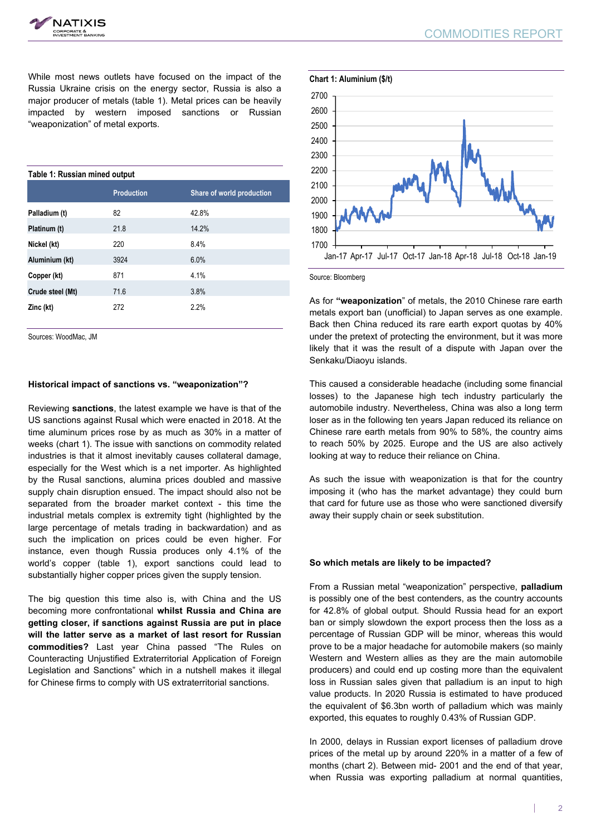COMMODITIES REPORT

While most news outlets have focused on the impact of the Russia Ukraine crisis on the energy sector, Russia is also a major producer of metals (table 1). Metal prices can be heavily impacted by western imposed sanctions or Russian "weaponization" of metal exports.

| Table 1: Russian mined output |                   |                           |  |  |  |  |
|-------------------------------|-------------------|---------------------------|--|--|--|--|
|                               | <b>Production</b> | Share of world production |  |  |  |  |
| Palladium (t)                 | 82                | 42.8%                     |  |  |  |  |
| Platinum (t)                  | 21.8              | 14.2%                     |  |  |  |  |
| Nickel (kt)                   | 220               | 8.4%                      |  |  |  |  |
| Aluminium (kt)                | 3924              | 6.0%                      |  |  |  |  |
| Copper (kt)                   | 871               | 4.1%                      |  |  |  |  |
| Crude steel (Mt)              | 71.6              | 3.8%                      |  |  |  |  |
| Zinc (kt)                     | 272               | 2.2%                      |  |  |  |  |

Sources: WoodMac, JM

### **Historical impact of sanctions vs. "weaponization"?**

Reviewing **sanctions**, the latest example we have is that of the US sanctions against Rusal which were enacted in 2018. At the time aluminum prices rose by as much as 30% in a matter of weeks (chart 1). The issue with sanctions on commodity related industries is that it almost inevitably causes collateral damage, especially for the West which is a net importer. As highlighted by the Rusal sanctions, alumina prices doubled and massive supply chain disruption ensued. The impact should also not be separated from the broader market context - this time the industrial metals complex is extremity tight (highlighted by the large percentage of metals trading in backwardation) and as such the implication on prices could be even higher. For instance, even though Russia produces only 4.1% of the world's copper (table 1), export sanctions could lead to substantially higher copper prices given the supply tension.

The big question this time also is, with China and the US becoming more confrontational **whilst Russia and China are getting closer, if sanctions against Russia are put in place will the latter serve as a market of last resort for Russian commodities?** Last year China passed "The Rules on Counteracting Unjustified Extraterritorial Application of Foreign Legislation and Sanctions" which in a nutshell makes it illegal for Chinese firms to comply with US extraterritorial sanctions.





Source: Bloomberg

As for **"weaponization**" of metals, the 2010 Chinese rare earth metals export ban (unofficial) to Japan serves as one example. Back then China reduced its rare earth export quotas by 40% under the pretext of protecting the environment, but it was more likely that it was the result of a dispute with Japan over the Senkaku/Diaoyu islands.

This caused a considerable headache (including some financial losses) to the Japanese high tech industry particularly the automobile industry. Nevertheless, China was also a long term loser as in the following ten years Japan reduced its reliance on Chinese rare earth metals from 90% to 58%, the country aims to reach 50% by 2025. Europe and the US are also actively looking at way to reduce their reliance on China.

As such the issue with weaponization is that for the country imposing it (who has the market advantage) they could burn that card for future use as those who were sanctioned diversify away their supply chain or seek substitution.

### **So which metals are likely to be impacted?**

From a Russian metal "weaponization" perspective, **palladium** is possibly one of the best contenders, as the country accounts for 42.8% of global output. Should Russia head for an export ban or simply slowdown the export process then the loss as a percentage of Russian GDP will be minor, whereas this would prove to be a major headache for automobile makers (so mainly Western and Western allies as they are the main automobile producers) and could end up costing more than the equivalent loss in Russian sales given that palladium is an input to high value products. In 2020 Russia is estimated to have produced the equivalent of \$6.3bn worth of palladium which was mainly exported, this equates to roughly 0.43% of Russian GDP.

In 2000, delays in Russian export licenses of palladium drove prices of the metal up by around 220% in a matter of a few of months (chart 2). Between mid- 2001 and the end of that year, when Russia was exporting palladium at normal quantities,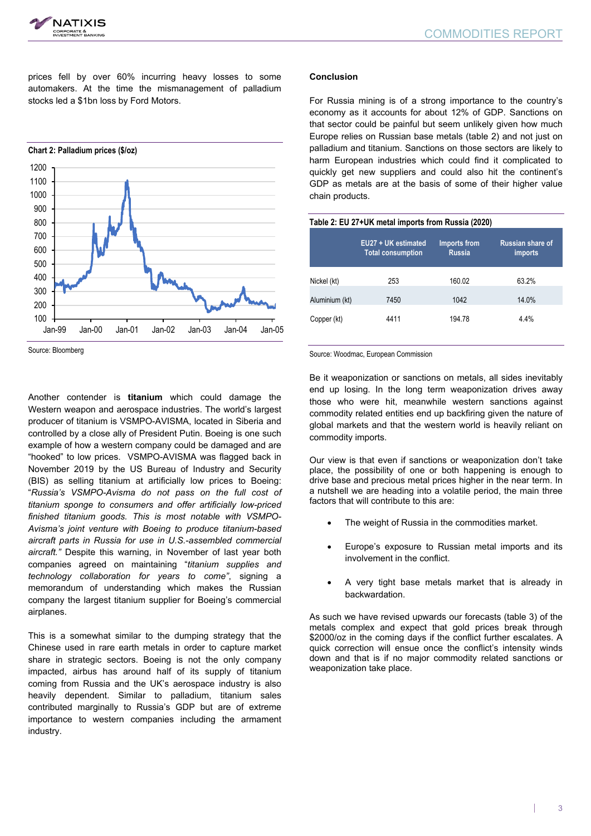



prices fell by over 60% incurring heavy losses to some automakers. At the time the mismanagement of palladium stocks led a \$1bn loss by Ford Motors.



Source: Bloomberg

Another contender is **titanium** which could damage the Western weapon and aerospace industries. The world's largest producer of titanium is VSMPO-AVISMA, located in Siberia and controlled by a close ally of President Putin. Boeing is one such example of how a western company could be damaged and are "hooked" to low prices. VSMPO-AVISMA was flagged back in November 2019 by the US Bureau of Industry and Security (BIS) as selling titanium at artificially low prices to Boeing: "*Russia's VSMPO-Avisma do not pass on the full cost of titanium sponge to consumers and offer artificially low-priced finished titanium goods. This is most notable with VSMPO-Avisma's joint venture with Boeing to produce titanium-based aircraft parts in Russia for use in U.S.-assembled commercial aircraft."* Despite this warning, in November of last year both companies agreed on maintaining "*titanium supplies and technology collaboration for years to come"*, signing a memorandum of understanding which makes the Russian company the largest titanium supplier for Boeing's commercial airplanes.

This is a somewhat similar to the dumping strategy that the Chinese used in rare earth metals in order to capture market share in strategic sectors. Boeing is not the only company impacted, airbus has around half of its supply of titanium coming from Russia and the UK's aerospace industry is also heavily dependent. Similar to palladium, titanium sales contributed marginally to Russia's GDP but are of extreme importance to western companies including the armament industry.

## **Conclusion**

For Russia mining is of a strong importance to the country's economy as it accounts for about 12% of GDP. Sanctions on that sector could be painful but seem unlikely given how much Europe relies on Russian base metals (table 2) and not just on palladium and titanium. Sanctions on those sectors are likely to harm European industries which could find it complicated to quickly get new suppliers and could also hit the continent's GDP as metals are at the basis of some of their higher value chain products.

| Table 2: EU 27+UK metal imports from Russia (2020) |                                                 |                                      |                                    |  |  |  |  |
|----------------------------------------------------|-------------------------------------------------|--------------------------------------|------------------------------------|--|--|--|--|
|                                                    | EU27 + UK estimated<br><b>Total consumption</b> | <b>Imports from</b><br><b>Russia</b> | <b>Russian share of</b><br>imports |  |  |  |  |
| Nickel (kt)                                        | 253                                             | 160.02                               | 63.2%                              |  |  |  |  |
| Aluminium (kt)                                     | 7450                                            | 1042                                 | 14.0%                              |  |  |  |  |
| Copper (kt)                                        | 4411                                            | 194.78                               | 4.4%                               |  |  |  |  |

#### Source: Woodmac, European Commission

Be it weaponization or sanctions on metals, all sides inevitably end up losing. In the long term weaponization drives away those who were hit, meanwhile western sanctions against commodity related entities end up backfiring given the nature of global markets and that the western world is heavily reliant on commodity imports.

Our view is that even if sanctions or weaponization don't take place, the possibility of one or both happening is enough to drive base and precious metal prices higher in the near term. In a nutshell we are heading into a volatile period, the main three factors that will contribute to this are:

- The weight of Russia in the commodities market.
- Europe's exposure to Russian metal imports and its involvement in the conflict.
- A very tight base metals market that is already in backwardation.

As such we have revised upwards our forecasts (table 3) of the metals complex and expect that gold prices break through \$2000/oz in the coming days if the conflict further escalates. A quick correction will ensue once the conflict's intensity winds down and that is if no major commodity related sanctions or weaponization take place.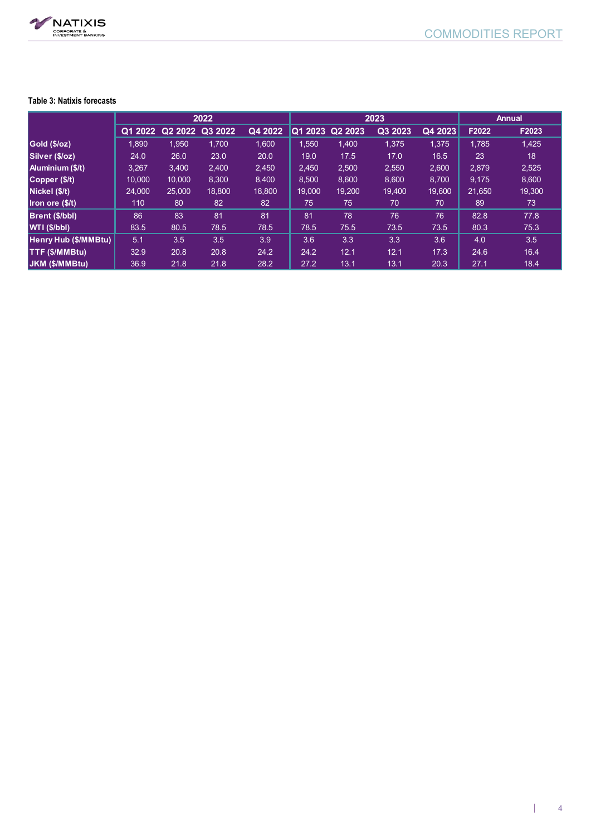

## **Table 3: Natixis forecasts**

|                       | 2022    |         |         |         | 2023     |         |         |         | <b>Annual</b> |        |
|-----------------------|---------|---------|---------|---------|----------|---------|---------|---------|---------------|--------|
|                       | Q1 2022 | Q2 2022 | Q3 2022 | Q4 2022 | IQ1 2023 | Q2 2023 | Q3 2023 | Q4 2023 | F2022         | F2023  |
| Gold (\$/oz)          | 1,890   | 1,950   | 1.700   | 1,600   | 1,550    | 1,400   | 1,375   | 1,375   | 1,785         | 1,425  |
| Silver (\$/oz)        | 24.0    | 26.0    | 23.0    | 20.0    | 19.0     | 17.5    | 17.0    | 16.5    | 23            | 18     |
| Aluminium (\$/t)      | 3,267   | 3,400   | 2,400   | 2,450   | 2,450    | 2,500   | 2,550   | 2,600   | 2,879         | 2,525  |
| Copper (\$/t)         | 10.000  | 10,000  | 8,300   | 8,400   | 8,500    | 8,600   | 8,600   | 8,700   | 9,175         | 8,600  |
| Nickel (\$/t)         | 24.000  | 25,000  | 18,800  | 18,800  | 19.000   | 19.200  | 19.400  | 19,600  | 21.650        | 19,300 |
| Iron ore (\$/t)       | 110     | 80      | 82      | 82      | 75       | 75      | 70      | 70      | 89            | 73     |
| Brent (\$/bbl)        | 86      | 83      | 81      | 81      | 81       | 78      | 76      | 76      | 82.8          | 77.8   |
| WTI (\$/bbl)          | 83.5    | 80.5    | 78.5    | 78.5    | 78.5     | 75.5    | 73.5    | 73.5    | 80.3          | 75.3   |
| Henry Hub (\$/MMBtu)  | 5.1     | 3.5     | 3.5     | 3.9     | 3.6      | 3.3     | 3.3     | 3.6     | 4.0           | 3.5    |
| <b>TTF (\$/MMBtu)</b> | 32.9    | 20.8    | 20.8    | 24.2    | 24.2     | 12.1    | 12.1    | 17.3    | 24.6          | 16.4   |
| <b>JKM (\$/MMBtu)</b> | 36.9    | 21.8    | 21.8    | 28.2    | 27.2     | 13.1    | 13.1    | 20.3    | 27.1          | 18.4   |